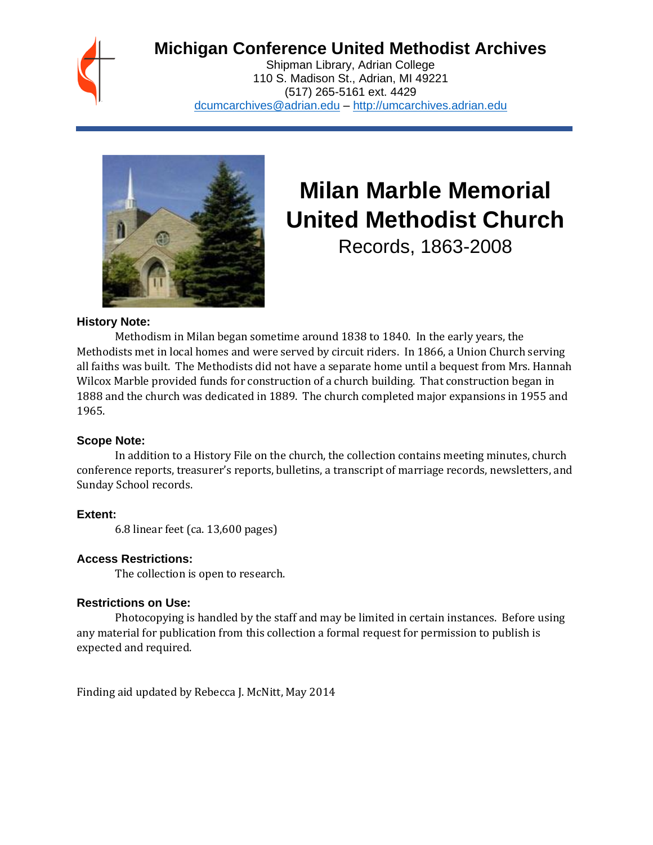## **Michigan Conference United Methodist Archives**

Shipman Library, Adrian College 110 S. Madison St., Adrian, MI 49221 (517) 265-5161 ext. 4429 [dcumcarchives@adrian.edu](mailto:dcumcarchives@adrian.edu) – [http://umcarchives.adrian.edu](http://umcarchives.adrian.edu/)



# **Milan Marble Memorial United Methodist Church**

Records, 1863-2008

#### **History Note:**

Methodism in Milan began sometime around 1838 to 1840. In the early years, the Methodists met in local homes and were served by circuit riders. In 1866, a Union Church serving all faiths was built. The Methodists did not have a separate home until a bequest from Mrs. Hannah Wilcox Marble provided funds for construction of a church building. That construction began in 1888 and the church was dedicated in 1889. The church completed major expansions in 1955 and 1965.

#### **Scope Note:**

In addition to a History File on the church, the collection contains meeting minutes, church conference reports, treasurer's reports, bulletins, a transcript of marriage records, newsletters, and Sunday School records.

#### **Extent:**

6.8 linear feet (ca. 13,600 pages)

#### **Access Restrictions:**

The collection is open to research.

#### **Restrictions on Use:**

Photocopying is handled by the staff and may be limited in certain instances. Before using any material for publication from this collection a formal request for permission to publish is expected and required.

Finding aid updated by Rebecca J. McNitt, May 2014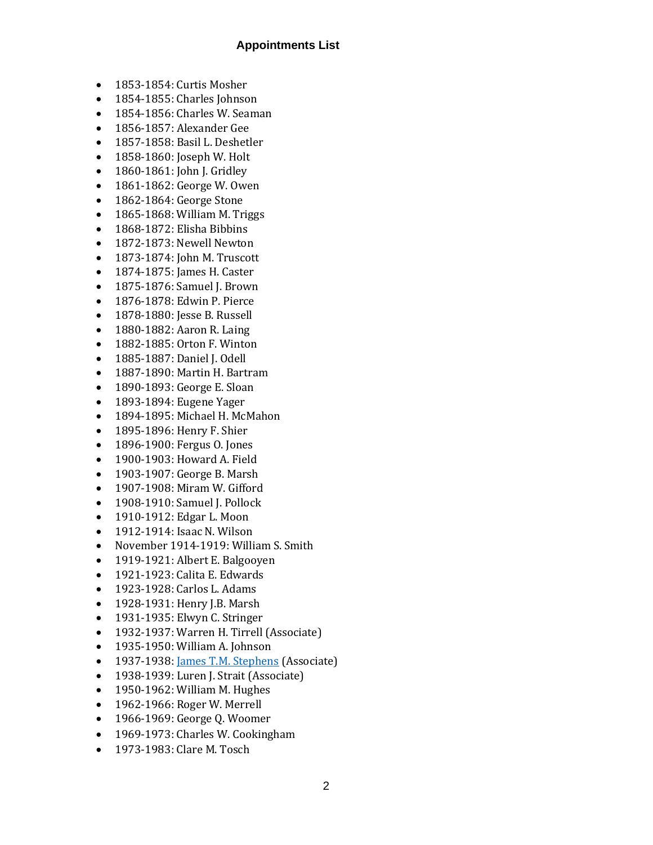#### **Appointments List**

- 1853-1854: Curtis Mosher
- 1854-1855: Charles Johnson
- 1854-1856: Charles W. Seaman
- 1856-1857: Alexander Gee
- 1857-1858: Basil L. Deshetler
- 1858-1860: Joseph W. Holt
- 1860-1861: John J. Gridley
- 1861-1862: George W. Owen
- 1862-1864: George Stone
- 1865-1868: William M. Triggs
- 1868-1872: Elisha Bibbins
- 1872-1873: Newell Newton
- 1873-1874: John M. Truscott
- 1874-1875: James H. Caster
- 1875-1876: Samuel J. Brown
- 1876-1878: Edwin P. Pierce
- 1878-1880: Jesse B. Russell
- 1880-1882: Aaron R. Laing
- 1882-1885: Orton F. Winton
- 1885-1887: Daniel J. Odell
- 1887-1890: Martin H. Bartram
- 1890-1893: George E. Sloan
- 1893-1894: Eugene Yager
- 1894-1895: Michael H. McMahon
- 1895-1896: Henry F. Shier
- 1896-1900: Fergus O. Jones
- 1900-1903: Howard A. Field
- 1903-1907: George B. Marsh
- 1907-1908: Miram W. Gifford
- 1908-1910: Samuel J. Pollock
- 1910-1912: Edgar L. Moon
- 1912-1914: Isaac N. Wilson
- November 1914-1919: William S. Smith
- 1919-1921: Albert E. Balgooyen
- 1921-1923: Calita E. Edwards
- 1923-1928: Carlos L. Adams
- 1928-1931: Henry J.B. Marsh
- 1931-1935: Elwyn C. Stringer
- 1932-1937: Warren H. Tirrell (Associate)
- 1935-1950: William A. Johnson
- 1937-1938[: James T.M. Stephens](http://umcarchives.adrian.edu/clergy/stephensjtm.php) (Associate)
- 1938-1939: Luren J. Strait (Associate)
- 1950-1962: William M. Hughes
- 1962-1966: Roger W. Merrell
- 1966-1969: George Q. Woomer
- 1969-1973: Charles W. Cookingham
- 1973-1983: Clare M. Tosch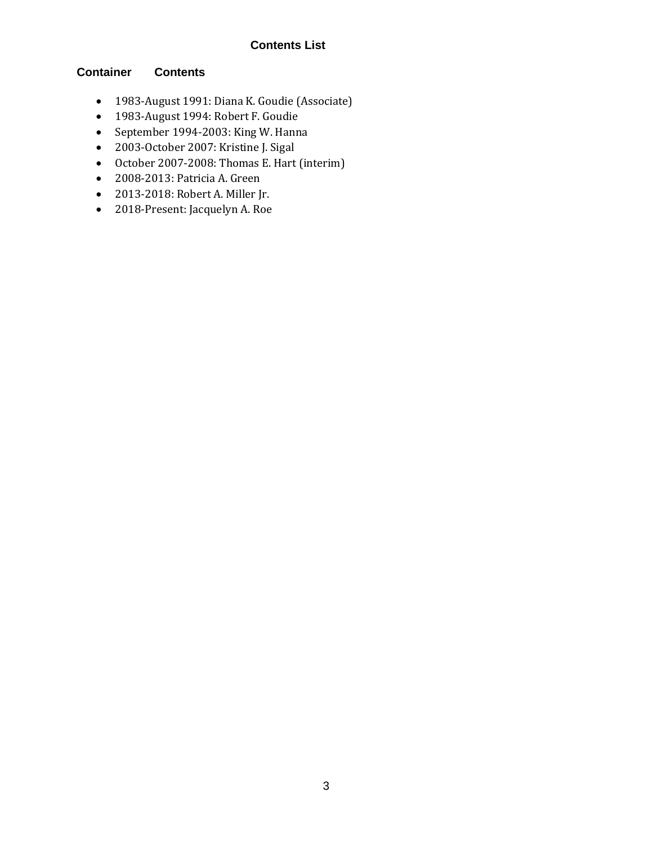#### **Contents List**

#### **Container Contents**

- 1983-August 1991: Diana K. Goudie (Associate)
- 1983-August 1994: Robert F. Goudie
- September 1994-2003: King W. Hanna
- 2003-October 2007: Kristine J. Sigal
- October 2007-2008: Thomas E. Hart (interim)
- 2008-2013: Patricia A. Green
- 2013-2018: Robert A. Miller Jr.
- 2018-Present: Jacquelyn A. Roe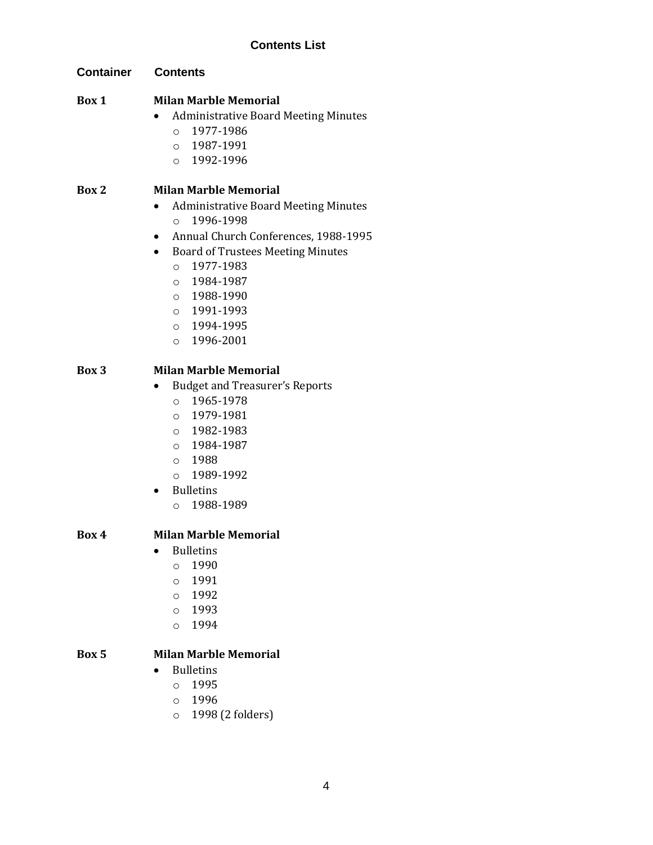**Container Contents**

#### **Box 1 Milan Marble Memorial**

- Administrative Board Meeting Minutes
	- o 1977-1986
	- o 1987-1991
	- $0.1992 1996$

### **Box 2 Milan Marble Memorial**

- Administrative Board Meeting Minutes o 1996-1998
- Annual Church Conferences, 1988-1995
- Board of Trustees Meeting Minutes
	- o 1977-1983
	- o 1984-1987
	- o 1988-1990
	- o 1991-1993
	- o 1994-1995
	- o 1996-2001

#### **Box 3 Milan Marble Memorial**

- Budget and Treasurer's Reports
	- o 1965-1978
	- o 1979-1981
	- o 1982-1983
	- o 1984-1987
	- o 1988
	- o 1989-1992
- Bulletins
	- $O$  1988-1989

#### **Box 4 Milan Marble Memorial**

- Bulletins
	- $0 1990$
	- o 1991
	- o 1992
	- o 1993
	- o 1994

#### **Box 5 Milan Marble Memorial**

- Bulletins
	- o 1995
	- o 1996
	- o 1998 (2 folders)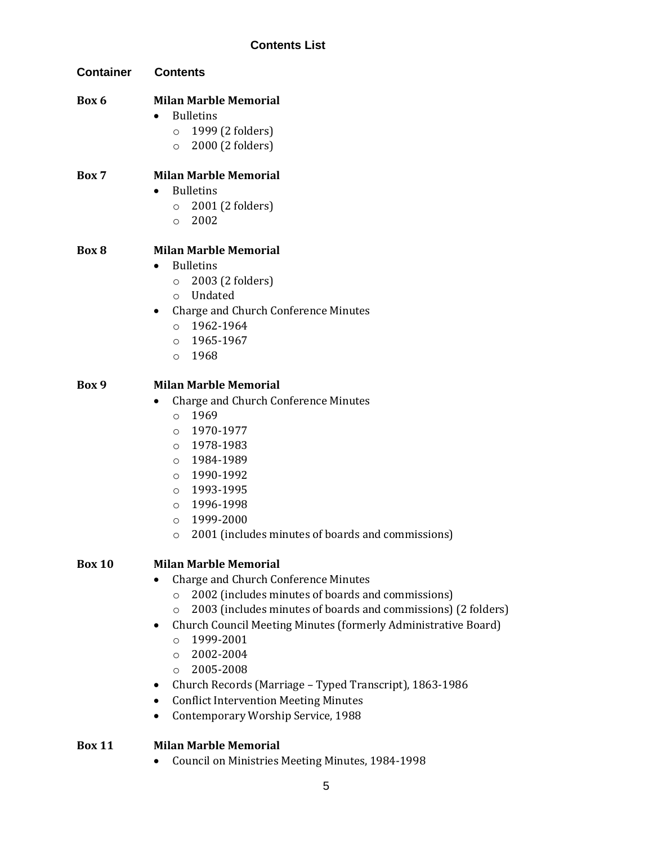| <b>Container</b> | <b>Contents</b>                                                                                                                                                                                                                                                                                                                                                                                                                                                                                                  |
|------------------|------------------------------------------------------------------------------------------------------------------------------------------------------------------------------------------------------------------------------------------------------------------------------------------------------------------------------------------------------------------------------------------------------------------------------------------------------------------------------------------------------------------|
| Box 6            | <b>Milan Marble Memorial</b><br><b>Bulletins</b><br>$\bullet$<br>1999 (2 folders)<br>$\circ$<br>2000 (2 folders)<br>$\circ$                                                                                                                                                                                                                                                                                                                                                                                      |
| Box 7            | <b>Milan Marble Memorial</b><br><b>Bulletins</b><br>$\bullet$<br>2001 (2 folders)<br>$\circ$<br>2002<br>$\circ$                                                                                                                                                                                                                                                                                                                                                                                                  |
| Box 8            | <b>Milan Marble Memorial</b><br><b>Bulletins</b><br>2003 (2 folders)<br>$\circ$<br>o Undated<br>Charge and Church Conference Minutes<br>٠<br>1962-1964<br>$\circ$<br>1965-1967<br>$\circ$<br>1968<br>$\circ$                                                                                                                                                                                                                                                                                                     |
| Box 9            | <b>Milan Marble Memorial</b><br>Charge and Church Conference Minutes<br>1969<br>$\circ$<br>1970-1977<br>$\circ$<br>1978-1983<br>$\circ$<br>1984-1989<br>$\circ$<br>1990-1992<br>$\circ$<br>1993-1995<br>$\circ$<br>1996-1998<br>$\circ$<br>1999-2000<br>$\circ$<br>2001 (includes minutes of boards and commissions)<br>O                                                                                                                                                                                        |
| <b>Box 10</b>    | <b>Milan Marble Memorial</b><br>Charge and Church Conference Minutes<br>2002 (includes minutes of boards and commissions)<br>$\circ$<br>2003 (includes minutes of boards and commissions) (2 folders)<br>O<br>Church Council Meeting Minutes (formerly Administrative Board)<br>٠<br>1999-2001<br>$\circ$<br>2002-2004<br>$\circ$<br>2005-2008<br>$\Omega$<br>Church Records (Marriage - Typed Transcript), 1863-1986<br>٠<br><b>Conflict Intervention Meeting Minutes</b><br>Contemporary Worship Service, 1988 |
| <b>Box 11</b>    | <b>Milan Marble Memorial</b><br>Council on Ministries Meeting Minutes, 1984-1998                                                                                                                                                                                                                                                                                                                                                                                                                                 |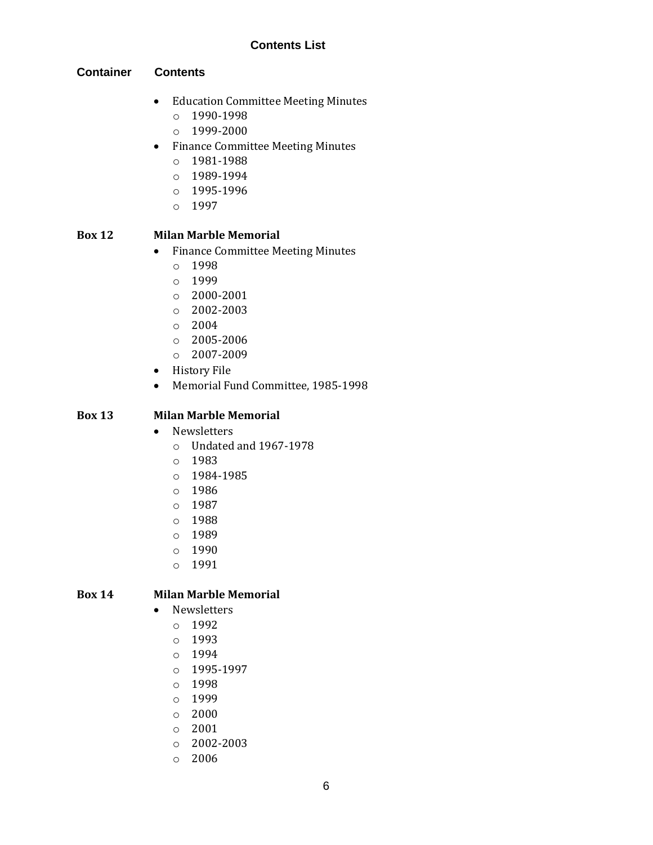#### **Contents List**

#### **Container Contents**

- Education Committee Meeting Minutes
	- o 1990-1998
	- o 1999-2000
- Finance Committee Meeting Minutes
	- o 1981-1988
	- o 1989-1994
	- o 1995-1996
	- o 1997

#### **Box 12 Milan Marble Memorial**

- Finance Committee Meeting Minutes
	- o 1998
	- o 1999
	- o 2000-2001
	- o 2002-2003
	- $\circ$  2004
	- o 2005-2006
	- $O$  2007-2009
- History File
- Memorial Fund Committee, 1985-1998

#### **Box 13 Milan Marble Memorial**

- Newsletters
	- o Undated and 1967-1978
	- o 1983
	- o 1984-1985
	- o 1986
	- o 1987
	- o 1988
	- o 1989
	- o 1990
	- o 1991

#### **Box 14 Milan Marble Memorial**

- Newsletters
	- o 1992
	- o 1993
	- o 1994
	- o 1995-1997
	- o 1998
	- o 1999
	- o 2000
	- o 2001
	- o 2002-2003
	- o 2006